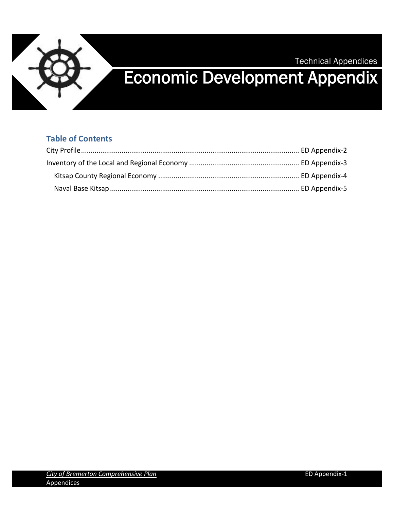

# Technical Appendices Economic Development Appendix

#### **Table of Contents**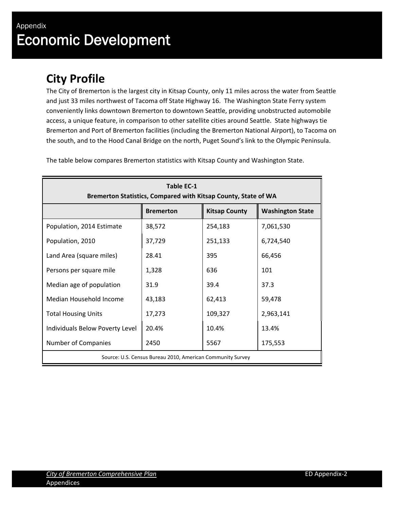## <span id="page-1-0"></span>**City Profile**

The City of Bremerton is the largest city in Kitsap County, only 11 miles across the water from Seattle and just 33 miles northwest of Tacoma off State Highway 16. The Washington State Ferry system conveniently links downtown Bremerton to downtown Seattle, providing unobstructed automobile access, a unique feature, in comparison to other satellite cities around Seattle. State highways tie Bremerton and Port of Bremerton facilities (including the Bremerton National Airport), to Tacoma on the south, and to the Hood Canal Bridge on the north, Puget Sound's link to the Olympic Peninsula.

| <b>Table EC-1</b><br>Bremerton Statistics, Compared with Kitsap County, State of WA |                  |                      |                         |  |  |  |  |
|-------------------------------------------------------------------------------------|------------------|----------------------|-------------------------|--|--|--|--|
|                                                                                     | <b>Bremerton</b> | <b>Kitsap County</b> | <b>Washington State</b> |  |  |  |  |
| Population, 2014 Estimate                                                           | 38,572           | 254,183              | 7,061,530               |  |  |  |  |
| Population, 2010                                                                    | 37,729           | 251,133              | 6,724,540               |  |  |  |  |
| Land Area (square miles)                                                            | 28.41            | 395                  | 66,456                  |  |  |  |  |
| Persons per square mile                                                             | 1,328            | 636                  | 101                     |  |  |  |  |
| Median age of population                                                            | 31.9             | 39.4                 | 37.3                    |  |  |  |  |
| Median Household Income                                                             | 43,183           | 62,413               | 59,478                  |  |  |  |  |
| <b>Total Housing Units</b>                                                          | 17,273           | 109,327              | 2,963,141               |  |  |  |  |
| Individuals Below Poverty Level                                                     | 20.4%            | 10.4%                | 13.4%                   |  |  |  |  |
| Number of Companies                                                                 | 2450             | 5567                 | 175,553                 |  |  |  |  |
| Source: U.S. Census Bureau 2010, American Community Survey                          |                  |                      |                         |  |  |  |  |

The table below compares Bremerton statistics with Kitsap County and Washington State.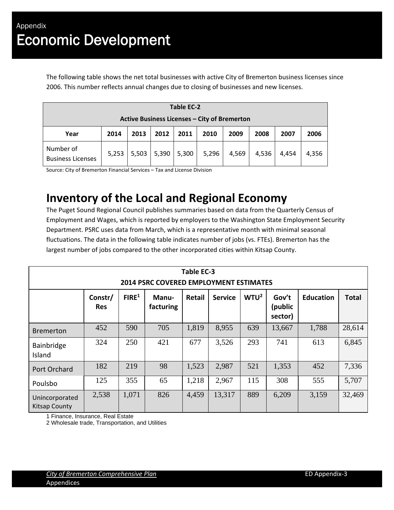The following table shows the net total businesses with active City of Bremerton business licenses since 2006. This number reflects annual changes due to closing of businesses and new licenses.

| <b>Table EC-2</b>                            |       |       |       |       |       |       |       |       |       |
|----------------------------------------------|-------|-------|-------|-------|-------|-------|-------|-------|-------|
| Active Business Licenses - City of Bremerton |       |       |       |       |       |       |       |       |       |
| Year                                         | 2014  | 2013  | 2012  | 2011  | 2010  | 2009  | 2008  | 2007  | 2006  |
| Number of<br><b>Business Licenses</b>        | 5,253 | 5,503 | 5,390 | 5,300 | 5,296 | 4,569 | 4,536 | 4,454 | 4,356 |

<span id="page-2-0"></span>Source: City of Bremerton Financial Services – Tax and License Division

### **Inventory of the Local and Regional Economy**

The Puget Sound Regional Council publishes summaries based on data from the Quarterly Census of Employment and Wages, which is reported by employers to the Washington State Employment Security Department. PSRC uses data from March, which is a representative month with minimal seasonal fluctuations. The data in the following table indicates number of jobs (vs. FTEs). Bremerton has the largest number of jobs compared to the other incorporated cities within Kitsap County.

| Table EC-3<br><b>2014 PSRC COVERED EMPLOYMENT ESTIMATES</b> |                       |                   |                    |               |                |                  |                             |                  |              |
|-------------------------------------------------------------|-----------------------|-------------------|--------------------|---------------|----------------|------------------|-----------------------------|------------------|--------------|
|                                                             | Constr/<br><b>Res</b> | FIRE <sup>1</sup> | Manu-<br>facturing | <b>Retail</b> | <b>Service</b> | WTU <sup>2</sup> | Gov't<br>(public<br>sector) | <b>Education</b> | <b>Total</b> |
| <b>Bremerton</b>                                            | 452                   | 590               | 705                | 1,819         | 8,955          | 639              | 13,667                      | 1,788            | 28,614       |
| Bainbridge<br>Island                                        | 324                   | 250               | 421                | 677           | 3,526          | 293              | 741                         | 613              | 6,845        |
| Port Orchard                                                | 182                   | 219               | 98                 | 1,523         | 2,987          | 521              | 1,353                       | 452              | 7,336        |
| Poulsbo                                                     | 125                   | 355               | 65                 | 1,218         | 2,967          | 115              | 308                         | 555              | 5,707        |
| Unincorporated<br><b>Kitsap County</b>                      | 2,538                 | 1,071             | 826                | 4,459         | 13,317         | 889              | 6,209                       | 3,159            | 32,469       |

1 Finance, Insurance, Real Estate

2 Wholesale trade, Transportation, and Utilities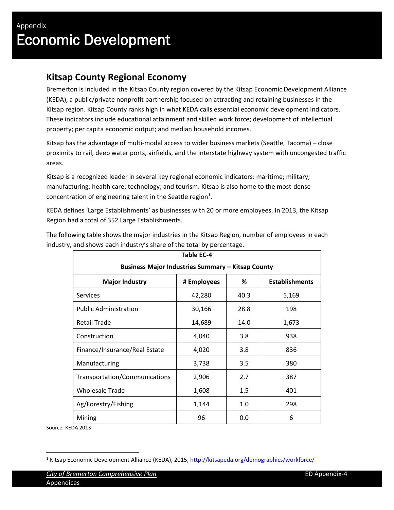I

### <span id="page-3-0"></span>**Kitsap County Regional Economy**

Bremerton is included in the Kitsap County region covered by the Kitsap Economic Development Alliance (KEDA), a public/private nonprofit partnership focused on attracting and retaining businesses in the Kitsap region. Kitsap County ranks high in what KEDA calls essential economic development indicators. These indicators include educational attainment and skilled work force; development of intellectual property; per capita economic output; and median household incomes.

Kitsap has the advantage of multi-modal access to wider business markets (Seattle, Tacoma) – close proximity to rail, deep water ports, airfields, and the interstate highway system with uncongested traffic areas.

Kitsap is a recognized leader in several key regional economic indicators: maritime; military; manufacturing; health care; technology; and tourism. Kitsap is also home to the most-dense concentration of engineering talent in the Seattle region<sup>1</sup>.

KEDA defines 'Large Establishments' as businesses with 20 or more employees. In 2013, the Kitsap Region had a total of 352 Large Establishments.

The following table shows the major industries in the Kitsap Region, number of employees in each industry, and shows each industry's share of the total by percentage.

| Table EC-4                                                         |        |      |       |  |  |  |  |  |
|--------------------------------------------------------------------|--------|------|-------|--|--|--|--|--|
| <b>Business Major Industries Summary - Kitsap County</b>           |        |      |       |  |  |  |  |  |
| <b>Establishments</b><br><b>Major Industry</b><br># Employees<br>% |        |      |       |  |  |  |  |  |
| <b>Services</b>                                                    | 42,280 | 40.3 | 5,169 |  |  |  |  |  |
| <b>Public Administration</b>                                       | 30,166 | 28.8 | 198   |  |  |  |  |  |
| <b>Retail Trade</b>                                                | 14,689 | 14.0 | 1,673 |  |  |  |  |  |
| Construction                                                       | 4,040  | 3.8  | 938   |  |  |  |  |  |
| Finance/Insurance/Real Estate                                      | 4,020  | 3.8  | 836   |  |  |  |  |  |
| Manufacturing                                                      | 3,738  | 3.5  | 380   |  |  |  |  |  |
| Transportation/Communications                                      | 2,906  | 2.7  | 387   |  |  |  |  |  |
| <b>Wholesale Trade</b>                                             | 1,608  | 1.5  | 401   |  |  |  |  |  |
| Ag/Forestry/Fishing                                                | 1,144  | 1.0  | 298   |  |  |  |  |  |
| Mining                                                             | 96     | 0.0  | 6     |  |  |  |  |  |

Source: KEDA 2013

 $\overline{a}$ 

<sup>&</sup>lt;sup>1</sup> Kitsap Economic Development Alliance (KEDA), 2015, http://kitsapeda.org/demographics/workforce/